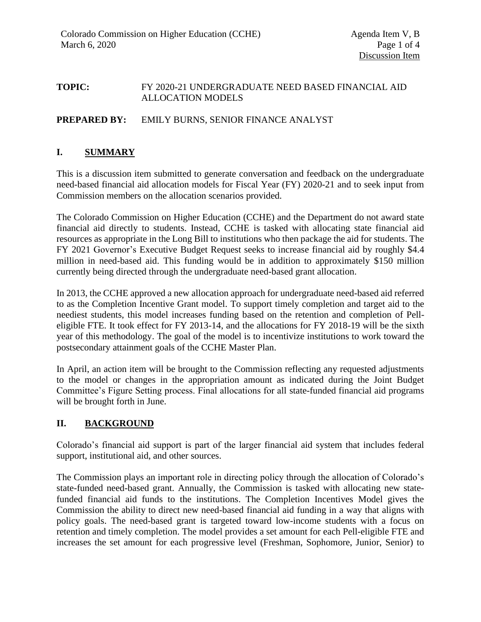### **TOPIC:** FY 2020-21 UNDERGRADUATE NEED BASED FINANCIAL AID ALLOCATION MODELS

### **PREPARED BY:** EMILY BURNS, SENIOR FINANCE ANALYST

### **I. SUMMARY**

This is a discussion item submitted to generate conversation and feedback on the undergraduate need-based financial aid allocation models for Fiscal Year (FY) 2020-21 and to seek input from Commission members on the allocation scenarios provided.

The Colorado Commission on Higher Education (CCHE) and the Department do not award state financial aid directly to students. Instead, CCHE is tasked with allocating state financial aid resources as appropriate in the Long Bill to institutions who then package the aid for students. The FY 2021 Governor's Executive Budget Request seeks to increase financial aid by roughly \$4.4 million in need-based aid. This funding would be in addition to approximately \$150 million currently being directed through the undergraduate need-based grant allocation.

In 2013, the CCHE approved a new allocation approach for undergraduate need-based aid referred to as the Completion Incentive Grant model. To support timely completion and target aid to the neediest students, this model increases funding based on the retention and completion of Pelleligible FTE. It took effect for FY 2013-14, and the allocations for FY 2018-19 will be the sixth year of this methodology. The goal of the model is to incentivize institutions to work toward the postsecondary attainment goals of the CCHE Master Plan.

In April, an action item will be brought to the Commission reflecting any requested adjustments to the model or changes in the appropriation amount as indicated during the Joint Budget Committee's Figure Setting process. Final allocations for all state-funded financial aid programs will be brought forth in June.

## **II. BACKGROUND**

Colorado's financial aid support is part of the larger financial aid system that includes federal support, institutional aid, and other sources.

The Commission plays an important role in directing policy through the allocation of Colorado's state-funded need-based grant. Annually, the Commission is tasked with allocating new statefunded financial aid funds to the institutions. The Completion Incentives Model gives the Commission the ability to direct new need-based financial aid funding in a way that aligns with policy goals. The need-based grant is targeted toward low-income students with a focus on retention and timely completion. The model provides a set amount for each Pell-eligible FTE and increases the set amount for each progressive level (Freshman, Sophomore, Junior, Senior) to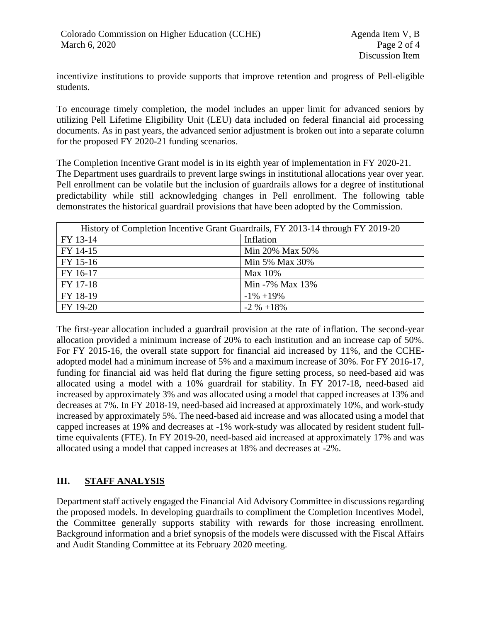incentivize institutions to provide supports that improve retention and progress of Pell-eligible students.

To encourage timely completion, the model includes an upper limit for advanced seniors by utilizing Pell Lifetime Eligibility Unit (LEU) data included on federal financial aid processing documents. As in past years, the advanced senior adjustment is broken out into a separate column for the proposed FY 2020-21 funding scenarios.

The Completion Incentive Grant model is in its eighth year of implementation in FY 2020-21. The Department uses guardrails to prevent large swings in institutional allocations year over year. Pell enrollment can be volatile but the inclusion of guardrails allows for a degree of institutional predictability while still acknowledging changes in Pell enrollment. The following table demonstrates the historical guardrail provisions that have been adopted by the Commission.

| History of Completion Incentive Grant Guardrails, FY 2013-14 through FY 2019-20 |                 |
|---------------------------------------------------------------------------------|-----------------|
| FY 13-14                                                                        | Inflation       |
| FY 14-15                                                                        | Min 20% Max 50% |
| FY 15-16                                                                        | Min 5% Max 30%  |
| FY 16-17                                                                        | Max 10%         |
| FY 17-18                                                                        | Min -7% Max 13% |
| FY 18-19                                                                        | $-1\% + 19\%$   |
| FY 19-20                                                                        | $-2\% +18\%$    |

The first-year allocation included a guardrail provision at the rate of inflation. The second-year allocation provided a minimum increase of 20% to each institution and an increase cap of 50%. For FY 2015-16, the overall state support for financial aid increased by 11%, and the CCHEadopted model had a minimum increase of 5% and a maximum increase of 30%. For FY 2016-17, funding for financial aid was held flat during the figure setting process, so need-based aid was allocated using a model with a 10% guardrail for stability. In FY 2017-18, need-based aid increased by approximately 3% and was allocated using a model that capped increases at 13% and decreases at 7%. In FY 2018-19, need-based aid increased at approximately 10%, and work-study increased by approximately 5%. The need-based aid increase and was allocated using a model that capped increases at 19% and decreases at -1% work-study was allocated by resident student fulltime equivalents (FTE). In FY 2019-20, need-based aid increased at approximately 17% and was allocated using a model that capped increases at 18% and decreases at -2%.

# **III. STAFF ANALYSIS**

Department staff actively engaged the Financial Aid Advisory Committee in discussions regarding the proposed models. In developing guardrails to compliment the Completion Incentives Model, the Committee generally supports stability with rewards for those increasing enrollment. Background information and a brief synopsis of the models were discussed with the Fiscal Affairs and Audit Standing Committee at its February 2020 meeting.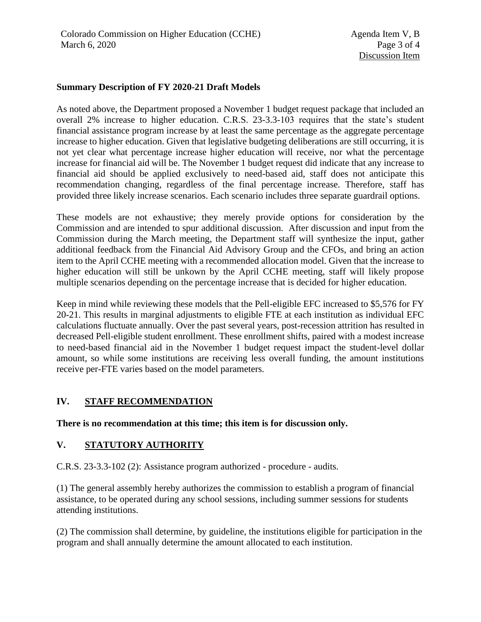#### **Summary Description of FY 2020-21 Draft Models**

As noted above, the Department proposed a November 1 budget request package that included an overall 2% increase to higher education. C.R.S. 23-3.3-103 requires that the state's student financial assistance program increase by at least the same percentage as the aggregate percentage increase to higher education. Given that legislative budgeting deliberations are still occurring, it is not yet clear what percentage increase higher education will receive, nor what the percentage increase for financial aid will be. The November 1 budget request did indicate that any increase to financial aid should be applied exclusively to need-based aid, staff does not anticipate this recommendation changing, regardless of the final percentage increase. Therefore, staff has provided three likely increase scenarios. Each scenario includes three separate guardrail options.

These models are not exhaustive; they merely provide options for consideration by the Commission and are intended to spur additional discussion. After discussion and input from the Commission during the March meeting, the Department staff will synthesize the input, gather additional feedback from the Financial Aid Advisory Group and the CFOs, and bring an action item to the April CCHE meeting with a recommended allocation model. Given that the increase to higher education will still be unkown by the April CCHE meeting, staff will likely propose multiple scenarios depending on the percentage increase that is decided for higher education.

Keep in mind while reviewing these models that the Pell-eligible EFC increased to \$5,576 for FY 20-21. This results in marginal adjustments to eligible FTE at each institution as individual EFC calculations fluctuate annually. Over the past several years, post-recession attrition has resulted in decreased Pell-eligible student enrollment. These enrollment shifts, paired with a modest increase to need-based financial aid in the November 1 budget request impact the student-level dollar amount, so while some institutions are receiving less overall funding, the amount institutions receive per-FTE varies based on the model parameters.

## **IV. STAFF RECOMMENDATION**

**There is no recommendation at this time; this item is for discussion only.**

## **V. STATUTORY AUTHORITY**

C.R.S. 23-3.3-102 (2): Assistance program authorized - procedure - audits.

(1) The general assembly hereby authorizes the commission to establish a program of financial assistance, to be operated during any school sessions, including summer sessions for students attending institutions.

(2) The commission shall determine, by guideline, the institutions eligible for participation in the program and shall annually determine the amount allocated to each institution.